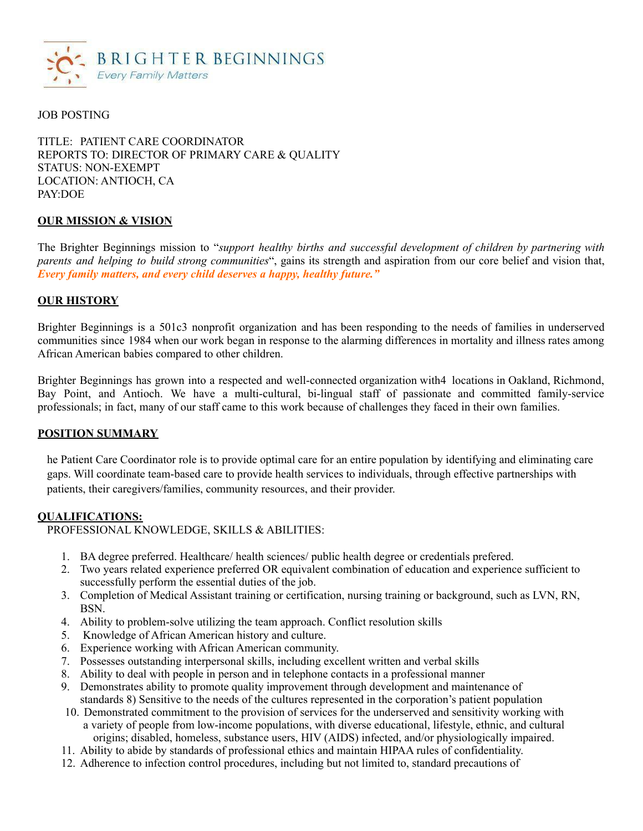

## JOB POSTING

TITLE: PATIENT CARE COORDINATOR REPORTS TO: DIRECTOR OF PRIMARY CARE & QUALITY STATUS: NON-EXEMPT LOCATION: ANTIOCH, CA PAY:DOE

#### **OUR MISSION & VISION**

The Brighter Beginnings mission to "*support healthy births and successful development of children by partnering with parents and helping to build strong communities*", gains its strength and aspiration from our core belief and vision that, *Every family matters, and every child deserves a happy, healthy future."*

## **OUR HISTORY**

Brighter Beginnings is a 501c3 nonprofit organization and has been responding to the needs of families in underserved communities since 1984 when our work began in response to the alarming differences in mortality and illness rates among African American babies compared to other children.

Brighter Beginnings has grown into a respected and well-connected organization with4 locations in Oakland, Richmond, Bay Point, and Antioch. We have a multi-cultural, bi-lingual staff of passionate and committed family-service professionals; in fact, many of our staff came to this work because of challenges they faced in their own families.

#### **POSITION SUMMARY**

he Patient Care Coordinator role is to provide optimal care for an entire population by identifying and eliminating care gaps. Will coordinate team-based care to provide health services to individuals, through effective partnerships with patients, their caregivers/families, community resources, and their provider.

#### **QUALIFICATIONS:**

PROFESSIONAL KNOWLEDGE, SKILLS & ABILITIES:

- 1. BA degree preferred. Healthcare/ health sciences/ public health degree or credentials prefered.
- 2. Two years related experience preferred OR equivalent combination of education and experience sufficient to successfully perform the essential duties of the job.
- 3. Completion of Medical Assistant training or certification, nursing training or background, such as LVN, RN, BSN.
- 4. Ability to problem-solve utilizing the team approach. Conflict resolution skills
- 5. Knowledge of African American history and culture.
- 6. Experience working with African American community.
- 7. Possesses outstanding interpersonal skills, including excellent written and verbal skills
- 8. Ability to deal with people in person and in telephone contacts in a professional manner
- 9. Demonstrates ability to promote quality improvement through development and maintenance of standards 8) Sensitive to the needs of the cultures represented in the corporation's patient population
- 10. Demonstrated commitment to the provision of services for the underserved and sensitivity working with a variety of people from low-income populations, with diverse educational, lifestyle, ethnic, and cultural origins; disabled, homeless, substance users, HIV (AIDS) infected, and/or physiologically impaired.
- 11. Ability to abide by standards of professional ethics and maintain HIPAA rules of confidentiality.
- 12. Adherence to infection control procedures, including but not limited to, standard precautions of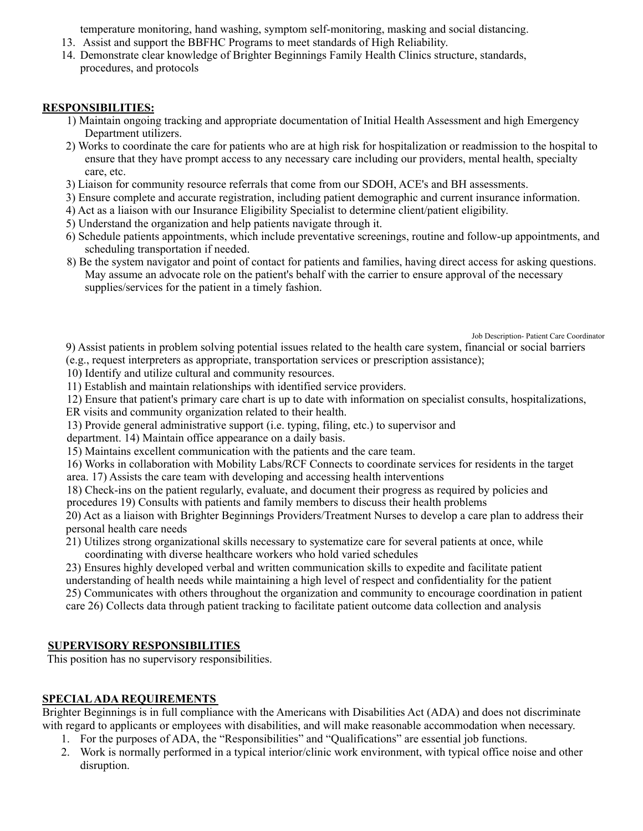temperature monitoring, hand washing, symptom self-monitoring, masking and social distancing.

- 13. Assist and support the BBFHC Programs to meet standards of High Reliability.
- 14. Demonstrate clear knowledge of Brighter Beginnings Family Health Clinics structure, standards, procedures, and protocols

## **RESPONSIBILITIES:**

- 1) Maintain ongoing tracking and appropriate documentation of Initial Health Assessment and high Emergency Department utilizers.
- 2) Works to coordinate the care for patients who are at high risk for hospitalization or readmission to the hospital to ensure that they have prompt access to any necessary care including our providers, mental health, specialty care, etc.
- 3) Liaison for community resource referrals that come from our SDOH, ACE's and BH assessments.
- 3) Ensure complete and accurate registration, including patient demographic and current insurance information.
- 4) Act as a liaison with our Insurance Eligibility Specialist to determine client/patient eligibility.
- 5) Understand the organization and help patients navigate through it.
- 6) Schedule patients appointments, which include preventative screenings, routine and follow-up appointments, and scheduling transportation if needed.
- 8) Be the system navigator and point of contact for patients and families, having direct access for asking questions. May assume an advocate role on the patient's behalf with the carrier to ensure approval of the necessary supplies/services for the patient in a timely fashion.

Job Description- Patient Care Coordinator

9) Assist patients in problem solving potential issues related to the health care system, financial or social barriers (e.g., request interpreters as appropriate, transportation services or prescription assistance);

- 10) Identify and utilize cultural and community resources.
- 11) Establish and maintain relationships with identified service providers.

12) Ensure that patient's primary care chart is up to date with information on specialist consults, hospitalizations,

ER visits and community organization related to their health.

13) Provide general administrative support (i.e. typing, filing, etc.) to supervisor and

department. 14) Maintain office appearance on a daily basis.

15) Maintains excellent communication with the patients and the care team.

16) Works in collaboration with Mobility Labs/RCF Connects to coordinate services for residents in the target area. 17) Assists the care team with developing and accessing health interventions

18) Check-ins on the patient regularly, evaluate, and document their progress as required by policies and

procedures 19) Consults with patients and family members to discuss their health problems

20) Act as a liaison with Brighter Beginnings Providers/Treatment Nurses to develop a care plan to address their personal health care needs

21) Utilizes strong organizational skills necessary to systematize care for several patients at once, while coordinating with diverse healthcare workers who hold varied schedules

23) Ensures highly developed verbal and written communication skills to expedite and facilitate patient understanding of health needs while maintaining a high level of respect and confidentiality for the patient 25) Communicates with others throughout the organization and community to encourage coordination in patient care 26) Collects data through patient tracking to facilitate patient outcome data collection and analysis

## **SUPERVISORY RESPONSIBILITIES**

This position has no supervisory responsibilities.

## **SPECIALADA REQUIREMENTS**

Brighter Beginnings is in full compliance with the Americans with Disabilities Act (ADA) and does not discriminate with regard to applicants or employees with disabilities, and will make reasonable accommodation when necessary.

- 1. For the purposes of ADA, the "Responsibilities" and "Qualifications" are essential job functions.
- 2. Work is normally performed in a typical interior/clinic work environment, with typical office noise and other disruption.